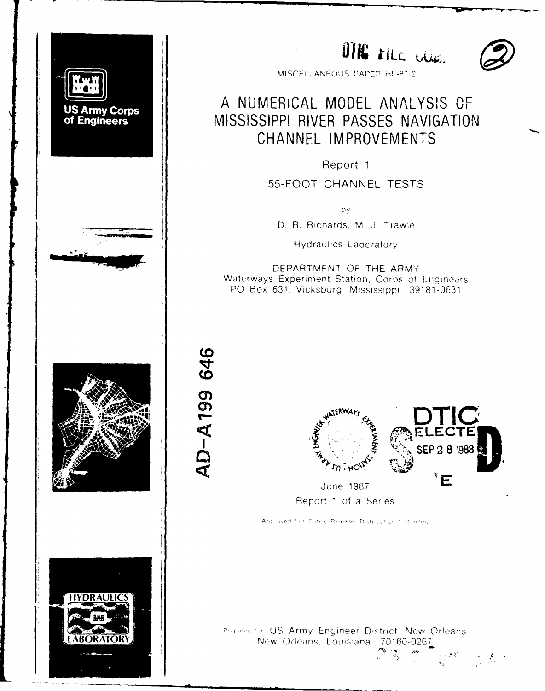

DTKG TILE CLUE.



MISCELLANEOUS PAFC?-: H! *-Q-* 2

# A NUMERICAL MODEL ANALYSIS OF US Army Corps<br>
MISSISSIPPI RIVER PASSES NAVIGATION<br>
CHANNEL IMPROVEMENTS

Report **1**

**55-FOOT CHANNEL TESTS**

**by**

D. R. Richards, M J. Trawle I Hydraulics Labcratory

DEPARTMENT OF THE ARMY Waterways Experiment Station. Corps of Engineers P0 Box **631.** Vicksburg, Mississippi **39181-0631**





Report **1** of a Series

Approved For Public Release. Distribution Lini mited.

Preserve US Army Engineer District. New Orleans New Orleans. Louisiana 70160-0267

 $\mathbb{C} \times$ 

 $\mathcal{L} \subset \mathcal{L}(\mathbf{X})$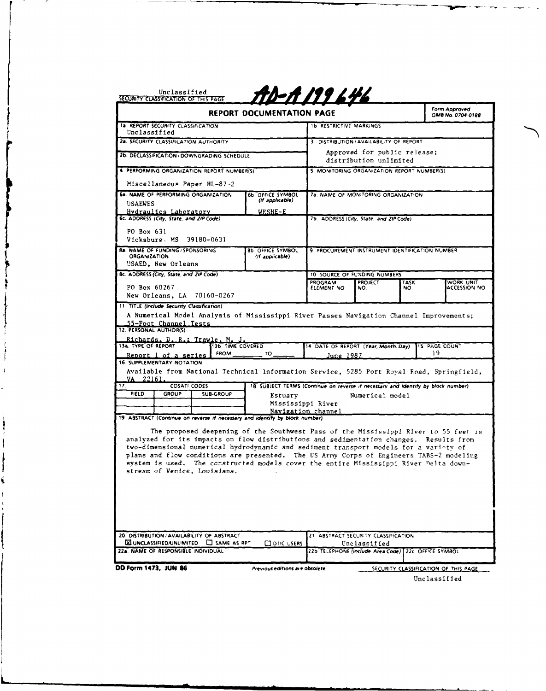|                                                                                                                             | <b>REPORT DOCUMENTATION PAGE</b>                                                 |                                                        |                                                        |                    | Form Approved<br>OMB No. 0704-0188 |
|-----------------------------------------------------------------------------------------------------------------------------|----------------------------------------------------------------------------------|--------------------------------------------------------|--------------------------------------------------------|--------------------|------------------------------------|
| <b>1a. REPORT SECURITY CLASSIFICATION</b><br>Unclassified                                                                   |                                                                                  | 1b RESTRICTIVE MARKINGS                                |                                                        |                    |                                    |
| 2a. SECURITY CLASSIFICATION AUTHORITY                                                                                       |                                                                                  | 3 DISTRIBUTION / AVAILABILITY OF REPORT                |                                                        |                    |                                    |
| 2b. DECLASSIFICATION / DOWNGRADING SCHEDULE                                                                                 |                                                                                  |                                                        | Approved for public release;<br>distribution unlimited |                    |                                    |
| 4 PERFORMING ORGANIZATION REPORT NUMBER(S)                                                                                  |                                                                                  | 5 MONITORING ORGANIZATION REPORT NUMBER(S)             |                                                        |                    |                                    |
| Miscellaneous Paper HL-87-2                                                                                                 |                                                                                  |                                                        |                                                        |                    |                                    |
| 6a. NAME OF PERFORMING ORGANIZATION                                                                                         | <b>6b. OFFICE SYMBOL</b>                                                         | 7a. NAME OF MONITORING ORGANIZATION                    |                                                        |                    |                                    |
| <b>USAEWES</b>                                                                                                              | (if applicable)                                                                  |                                                        |                                                        |                    |                                    |
| <u> Hvdraulics Laboratory</u><br>6c. ADDRESS (City, State, and ZIP Code)                                                    | <u>WESHE-E</u>                                                                   | 7b. ADDRESS (City, State, and ZIP Code)                |                                                        |                    |                                    |
| PO Box 631<br>Vicksburg. MS 39180-0631                                                                                      |                                                                                  |                                                        |                                                        |                    |                                    |
| <b>8a. NAME OF FUNDING / SPONSORING</b><br><b>ORGANIZATION</b><br>USAED. New Orleans                                        | <b>8b OFFICE SYMBOL</b><br>(If applicable)                                       | 9 PROCUREMENT INSTRUMENT IDENTIFICATION NUMBER         |                                                        |                    |                                    |
| 8c. ADDRESS (City, State, and ZIP Code)                                                                                     |                                                                                  | 10 SOURCE OF FUNDING NUMBERS                           |                                                        |                    |                                    |
| PO Box 60267                                                                                                                |                                                                                  | <b>PROGRAM</b><br>ELEMENT NO                           | <b>PROJECT</b><br>NO.                                  | <b>TASK</b><br>NO. | WORK UNIT<br>ACCESSION NO          |
| New Orleans, LA 70160-0267                                                                                                  |                                                                                  |                                                        |                                                        |                    |                                    |
| 11 TITLE (Include Security Classification)                                                                                  |                                                                                  |                                                        |                                                        |                    |                                    |
| A Numerical Model Analysis of Mississippi River Passes Navigation Channel Improvements;                                     |                                                                                  |                                                        |                                                        |                    |                                    |
| 55-Foot Channel Tests                                                                                                       |                                                                                  |                                                        |                                                        |                    |                                    |
| 12. PERSONAL AUTHOR(S)                                                                                                      |                                                                                  |                                                        |                                                        |                    |                                    |
| Richards. D. R.: Trawle. M. J.<br>13a. TYPE OF REPORT<br><b>13b TIME COVERED</b>                                            |                                                                                  | 14 DATE OF REPORT (Year, Month, Day)                   |                                                        |                    | <b>115 PAGE COUNT</b>              |
| <b>FROM</b><br>Report 1 of a series                                                                                         | "                                                                                | June 1987                                              |                                                        |                    | 19                                 |
| 16. SUPPLEMENTARY NOTATION                                                                                                  |                                                                                  |                                                        |                                                        |                    |                                    |
| Available from National Technical Information Service, 5285 Port Royal Road, Springfield,                                   |                                                                                  |                                                        |                                                        |                    |                                    |
| 22161.<br>VA<br>17.<br><b>COSATI CODES</b>                                                                                  | 18 SUBJECT TERMS (Continue on reverse if necessary and identify by block number) |                                                        |                                                        |                    |                                    |
| <b>FIELD</b><br><b>GROUP</b><br><b>SUB-GROUP</b>                                                                            | Estuary                                                                          |                                                        | Numerical model                                        |                    |                                    |
|                                                                                                                             |                                                                                  | Mississippi River                                      |                                                        |                    |                                    |
|                                                                                                                             |                                                                                  | Navigation channel                                     |                                                        |                    |                                    |
|                                                                                                                             |                                                                                  |                                                        |                                                        |                    |                                    |
|                                                                                                                             |                                                                                  |                                                        |                                                        |                    |                                    |
| The proposed deepening of the Southwest Pass of the Mississippi River to 55 feet is                                         |                                                                                  |                                                        |                                                        |                    |                                    |
| analyzed for its impacts on flow distributions and sedimentation changes. Results from                                      |                                                                                  |                                                        |                                                        |                    |                                    |
| two-dimensional numerical hydrodynamic and sediment transport models for a variety of                                       |                                                                                  |                                                        |                                                        |                    |                                    |
| plans and flow conditions are presented. The US Army Corps of Engineers TABS-2 modeling                                     |                                                                                  |                                                        |                                                        |                    |                                    |
| system is used. The constructed models cover the entire Mississippi River Delta down-                                       |                                                                                  |                                                        |                                                        |                    |                                    |
| stream of Venice, Louisiana.                                                                                                |                                                                                  |                                                        |                                                        |                    |                                    |
|                                                                                                                             |                                                                                  |                                                        |                                                        |                    |                                    |
|                                                                                                                             |                                                                                  |                                                        |                                                        |                    |                                    |
|                                                                                                                             |                                                                                  |                                                        |                                                        |                    |                                    |
|                                                                                                                             |                                                                                  |                                                        |                                                        |                    |                                    |
|                                                                                                                             |                                                                                  |                                                        |                                                        |                    |                                    |
| 19. ABSTRACT (Continue on reverse if necessary and identify by block number)<br>20. DISTRIBUTION / AVAILABILITY OF ABSTRACT |                                                                                  | 21 ABSTRACT SECURITY CLASSIFICATION                    |                                                        |                    |                                    |
| <b>EX UNCLASSIFIED/UNLIMITED C</b> SAME AS RPT<br>22a. NAME OF RESPONSIBLE INDIVIDUAL                                       | <b>CI DTIC USERS</b>                                                             | 22b TELEPHONE (Include Area Code)   22c. OFFICE SYMBOL | Unclassified                                           |                    |                                    |

Unclassified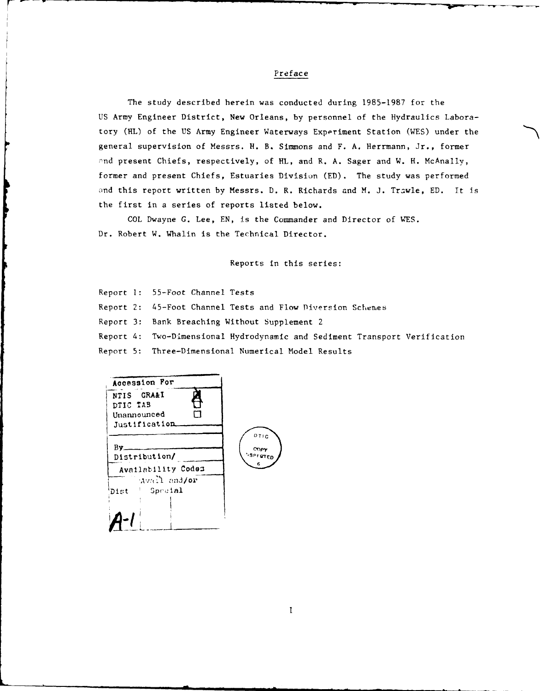# Preface

The study described herein was conducted during 1985-1987 for the US Army Engineer District, New Orleans, by personnel of the Hydraulics Laboratory (HL) of the US Army Engineer Waterways Experiment Station (WES) under the general supervision of Messrs. H. B. Simmons and F. A. Herrmann, Jr., former and present Chiefs, respectively, of HL, and R. A. Sager and W. H. McAnally, former and present Chiefs, Estuaries Division (ED). The study was performed nd this report written by Messrs. D. R. Richards and M. **J.** Trawle, ED. It is the first in a series of reports listed below.

COL Dwayne G. Lee, EN, is the Commander and Director of WES. Dr. Robert W. Whalin is the Technical Director.

Reports in this series:

Report **1:** 55-Foot Channel Tests Report 2: 45-Foot Channel Tests and Flow Diversion Schemes Report 3: Bank Breaching Without Supplement 2 Report 4: Two-Dimensional Hydrodynamic and Sediment Transport Verification Report 5: Three-Dimensional Numerical Model Results

| Accession For                                          |                               |
|--------------------------------------------------------|-------------------------------|
| NTIS GRA&I<br>DTIC TAB<br>Unannounced<br>Justification |                               |
| Bv.<br>Distribution/                                   | 011C<br>COPY<br><b>SPFCTE</b> |
| Availability Codes                                     |                               |
| Avall and/or<br>$-$ Special<br>Dist                    |                               |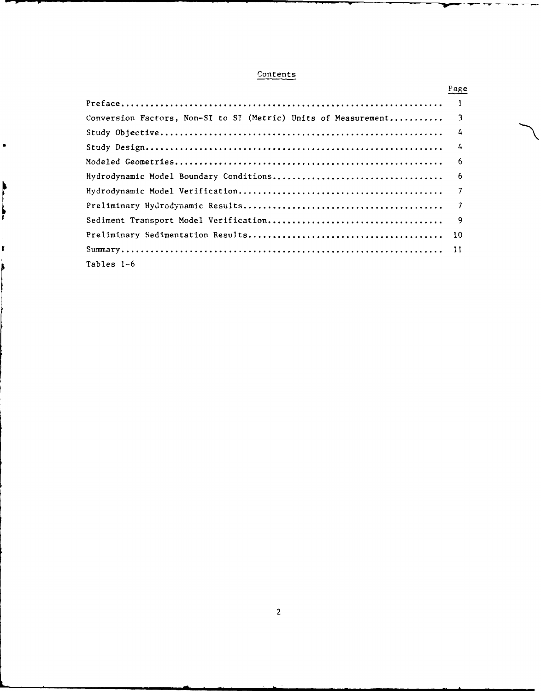# **Contents**

|            |                                                                                           | Page |
|------------|-------------------------------------------------------------------------------------------|------|
|            |                                                                                           |      |
|            | $\overline{\mathbf{3}}$<br>Conversion Factors, Non-SI to SI (Metric) Units of Measurement |      |
|            | $\frac{1}{4}$                                                                             |      |
|            | $\frac{1}{4}$                                                                             |      |
|            | $6^{\circ}$                                                                               |      |
|            |                                                                                           |      |
|            |                                                                                           |      |
|            |                                                                                           |      |
|            |                                                                                           |      |
|            |                                                                                           |      |
|            |                                                                                           |      |
| Tables 1-6 |                                                                                           |      |

 $\ddot{\phantom{1}}$ 

Ì

 $\frac{1}{2}$ 

 $\pmb{\mathbb{F}}$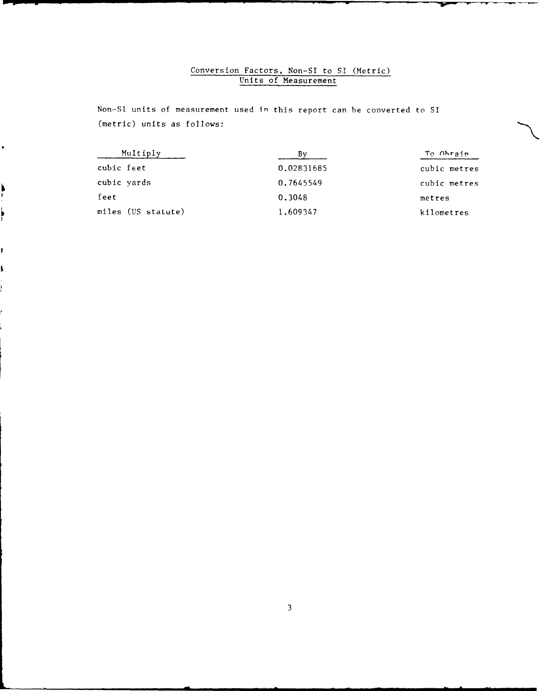# Conversion Factors, Non-SI to SI (Metric) Units of Measurement

Non-SI units of measurement used **in** this report can be converted to SI (metric) units as follows:

ř

| Multiply           |            | To Obrain    |
|--------------------|------------|--------------|
| cubic feet         | 0.02831685 | cubic metres |
| cubic yards        | 0.7645549  | cubic metres |
| feet               | 0.3048     | metres       |
| miles (US statute) | 1.609347   | kilometres   |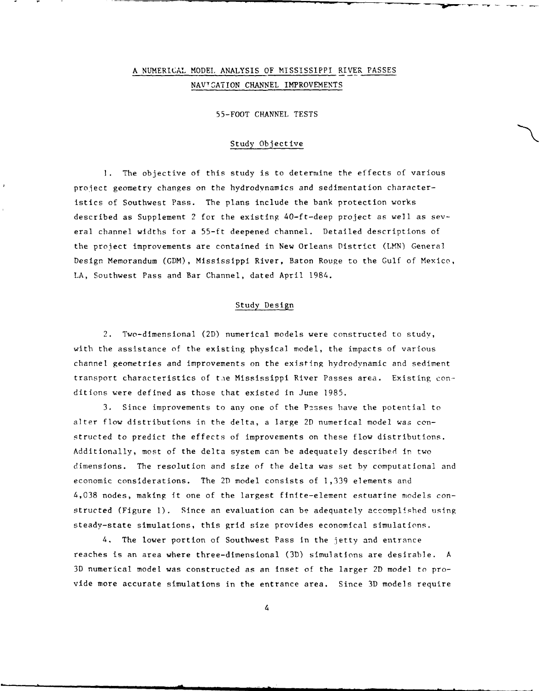# **A** NUMERICAL MODEL ANALYSIS OF MISSISSIPPI RIVER PASSES NAV7GATION CHANNEL IMPROVEMENTS

55-FOOT CHANNEL TESTS

# Study Objective

**1.** The objective of this study is to determine the effects of various project geometry changes on the hydrodynamics and sedimentation characteristics of Southwest Pass. The plans include the bank protection works described as Supplement 2 for the existing 40-ft-deep project as well as several channel widths for a 55-ft deepened channel. Detailed descriptions of the project improvements are contained in New Orleans District (LMN) General Design Memorandum (GDM), Mississippi River, Baton Rouge to the Gulf of Mexico, LA, Southwest Pass and Bar Channel, dated April 1984.

## Study Design

2. Two-dimensional (2D) numerical models were constructed to study, with the assistance of the existing physical model, the impacts of various channel geometries and improvements on the existing hydrodynamic and sediment transport characteristics of the Mississippi River Passes area. Existing conditions were defined as those that existed in June 1985.

3. Since improvements to any one of the Passes have the potential to alter flow distributions in the delta, a large 2D numerical model was constructed to predict the effects of improvements on these flow distributions. Additionally, most of the delta system can be adequately described in two dimensions. The resolution and size of the delta was set by computational and economic considerations. The 2D model consists of 1,339 elements and 4,038 nodes, making it one of the largest finite-element estuarine models constructed (Figure 1). Since an evaluation can be adequately accomplished using steady-state simulations, this grid size provides economical simulations.

4. The lower portion of Southwest Pass in the jetty and entrance reaches is an area where three-dimensional (3D) simulations are desirable. A 3D numerical model was constructed as an inset of the larger 2D model to provide more accurate simulations in the entrance area. Since 3D models require

4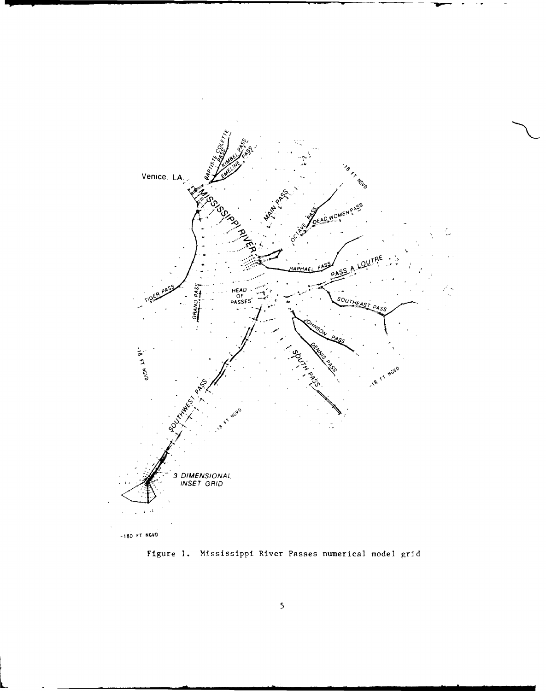

Figure 1. Mississippi River Passes numerical model grid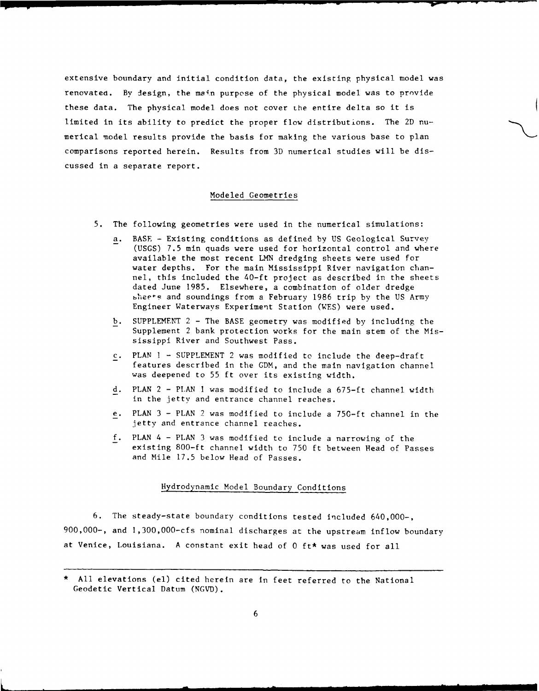extensive boundary and initial condition data, the existing physical model was renovated. By design, the main purpose of the physical model was to provide these data. The physical model does not cover the entire delta so it is limited in its ability to predict the proper flow distributions. The 2D numerical model results provide the basis for making the various base to plan comparisons reported herein. Results from 3D numerical studies will be discussed in a separate report.

#### Modeled Geometries

- 5. The following geometries were used in the numerical simulations:
	- a. BASE Existing conditions as defined by US Geological Survey (USGS) 7.5 min quads were used for horizontal control and where available the most recent LMN dredging sheets were used for water depths. For the main Mississippi River navigation channel, this included the 40-ft project as described in the sheets dated June 1985. Elsewhere, a combination of older dredge sheets and soundings from a February 1986 trip by the US Army Engineer Waterways Experiment Station (WES) were used.
	- b. SUPPLEMENT 2 The BASE geometry was modified by including the Supplement 2 bank protection works for the main stem of the Mississippi River and Southwest Pass.
	- c. PLAN I SUPPLEMENT 2 was modified to include the deep-draft features described in the GDM, and the main navigation channel was deepened to 55 ft over its existing width.
	- d. PLAN 2 PLAN I was modified to include a 675-ft channel width in the jetty and entrance channel reaches.
	- e. PLAN 3 PLAN 2 was modified to include a 750-ft channel in the jetty and entrance channel reaches.
	- **f.** PLAN 4 PLAN 3 was modified to include a narrowing of the existing 800-ft channel width to 750 ft between Read of Passes and Mile 17.5 below Head of Passes.

# Hydrodynamic Model Boundary Conditions

6. The steady-state boundary conditions tested included 640,000-, 900,000-, and 1,300,000-cfs nominal discharges at the upstream inflow boundary at Venice, Louisiana. A constant exit head of 0 ft\* was used for all

All elevations (el) cited herein are in feet referred to the National Geodetic Vertical Datum (NGVD).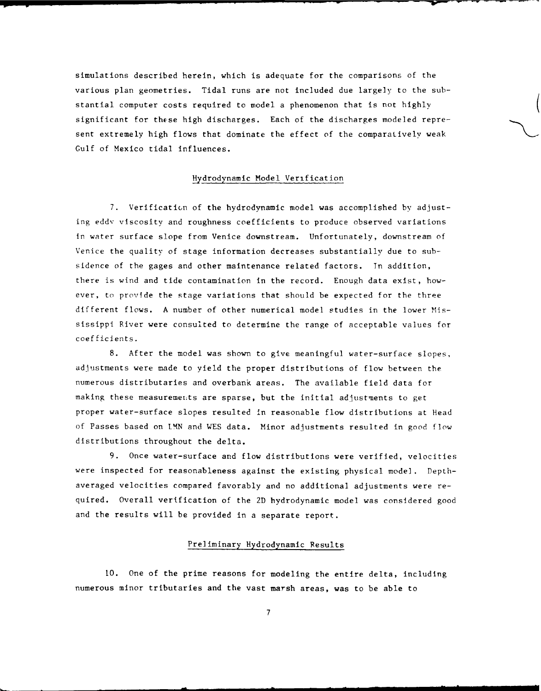simulations described herein, which is adequate for the comparisons of the various plan geometries. Tidal runs are not included due largely to the substantial computer costs required to model a phenomenon that is not highly ( significant for these high discharges. Each of the discharges modeled represent extremely high flows that dominate the effect of the comparatively weak Gulf of Mexico tidal influences.

# Hydrodynamic Model Verification

7. Verification of the hydrodynamic model was accomplished by adjusting eddy viscosity and roughness coefficients to produce observed variations in water surface slope from Venice downstream. Unfortunately, downstream of Venice the quality of stage information decreases substantially due to subsidence of the gages and other maintenance related factors. In addition, there is wind and tide contamination in the record. Enough data exist, however, to provide the stage variations that should be expected for the three different flows. A number of other numerical model studies in the lower Mississippi River were consulted to determine the range of acceptable values for coefficients.

8. After the model was shown to give meaningful water-surface slopes, adjustments were made to yield the proper distributions of flow between the numerous distributaries and overbank areas. The available field data for making these measurements are sparse, but the initial adjustments to get proper water-surface slopes resulted in reasonable flow distributions at Head of Passes based on **LMN** and WES data. Minor adjustments resulted in good flow distributions throughout the delta.

9. Once water-surface and flow distributions were verified, velocities were inspected for reasonableness against the existing physical model. Depthaveraged velocities compared favorably and no additional adjustments were required. Overall verification of the 2D hydrodynamic model was considered good and the results will be provided in a separate report.

# Preliminary Hydrodynamic Results

10. One of the prime reasons for modeling the entire delta, including numerous minor tributaries and the vast marsh areas, was to be able to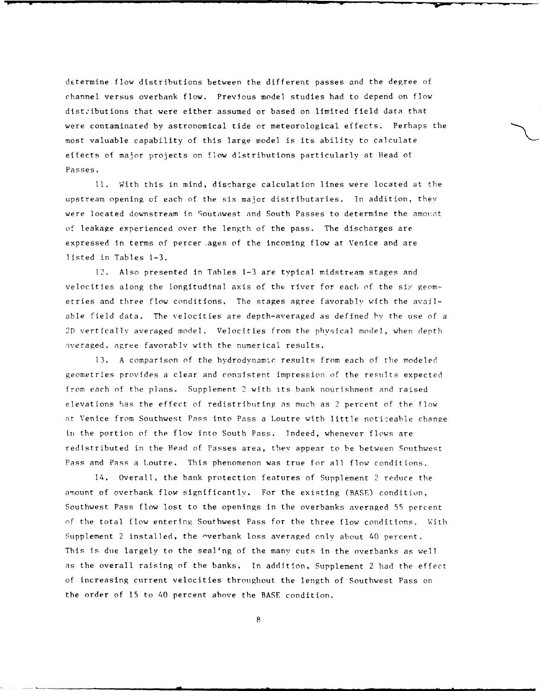determine flow distributions between the different passes and the degree of channel versus overbank flow. Previous model studies had to depend on flow distributions that were either assumed or based on limited field data that were contaminated by astronomical tide or meteorological effects. Perhaps the most valuable capability of this large model is its ability to calculate effects of major projects on flow distributions particularly at Head of Passes.

**1i.** With this in mind, discharge calculation lines were located at the upstream opening of each of the six major distributaries. In addition, they were located downstream in Soutnwest and South Passes to determine the amount of leakage experienced over the length of the pass. The discharges are expressed in terms of percer ages of the incoming flow at Venice and are listed in Tables 1-3.

12. Also presented in Tables **1-3** are typical midstream stages and velocities along the longitudinal axis of the river for each of the six geometries and three flow conditions. The stages agree favorably with the available field data. The velocities are depth-averaged as defined **by** the use of a **2D** vertically averaged model. Velocities from the physical model, when depth averaged, agree favorably with the numerical results.

13. A comparison of the hydrodynamic results from each of the modeled geometries provides a clear and consistent impression of the results expected from each of the plans. Supplement 2 with its bank nourishment and raised elevations has the effect of redistributing as much as 2 percent of the flow at Venice from Southwest Pass into Pass a Loutre with little noticeable change in the portion of the flow into South Pass. Indeed, whenever flows are redistributed in the Head of Passes area, they appear to be between Southwest Pass and Pass a Loutre. This phenomenon was true for all flow conditions.

14. Overall, the bank protection features of Supplement 2 reduce the amount of overbank flow significantlv. For the existing (BASE) condition, Southwest Pass flow lost to the openings In the overbanks averaged 55 percent of the total flow entering Southwest Pass for the three flow conditions. With Supplement 2 installed, the -verbank loss averaged only about 40 percent. This is due largely to the sealing of the many cuts in the overbanks as well as the overall raising of the banks. In addition, Supplement 2 had the effect of increasing current velocities throughout the length of Southwest Pass on the order of 15 to 40 percent above the BASE condition.

8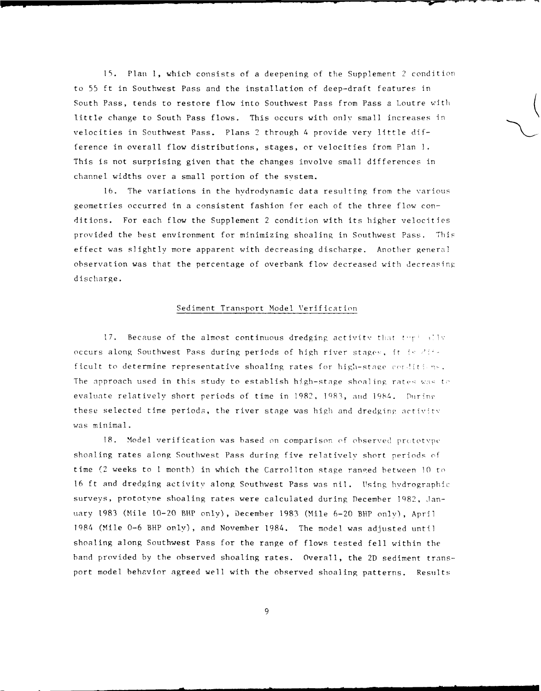**15.** Plan 1, whicb consists of a deepening of the Supplement 2 condition to 55 ft in Southwest Pass and the installation of deep-draft features in South Pass, tends to restore flow into Southwest Pass from Pass a Loutre with little change to South Pass flows. This occurs with only small increases in velocities in Southwest Pass. Plans 2 through 4 provide very little difference in overall flow distributions, stages, or velocities from Plan **1.** This is not surprising given that the changes involve small differences in channel widths over a small portion of the system.

16. The variations in the hydrodynamic data resulting from the various geometries occurred in a consistent fashion for each of the three flow conditions. For each flow the Supplement 2 condition with its higher velocities provided the best environment for minimizing shoaling in Southwest Pass. This effect was slightly more apparent with decreasing discharge. Another general observation was that the percentage of overbank flow decreased with decreasing discharge.

# Sediment Transport Model Verification

17. Because of the almost continuous dredging activity that the ells occurs along Southwest Pass during periods of high river stages, it is  $2\ell + 1$ ficult to determine representative shoaling rates for high-stage conditions. The approach used in this study to establish high-stage shoaling rates was to evaluate relatively short periods of time in 1982, 1983, and 1984. During these selected time periods, the river stage was high and dredging activity was minimal.

18. Model verification was based on comparison of observed prototvpe shoaling rates along Southwest Pass during five relatively short periods of time (2 weeks to I month) in which the Carrollton stage ranced between 10 to 16 ft and dredging activity along Southwest Pass was nil. Using hvdrographic surveys, prototype shoaling rates were calculated during December 1982, January 1983 (Mile 10-20 BHP only), December 1983 (Mile 6-20 BHP only), April 1984 (Mile 0-6 BHP only), and November 1984. The model was adjusted until shoaling along Southwest Pass for the range of flows tested fell within the hand provided by the observed shoaling rates. Overall, the 2D sediment transport model behavior agreed well with the observed shoaling patterns. Results

**9**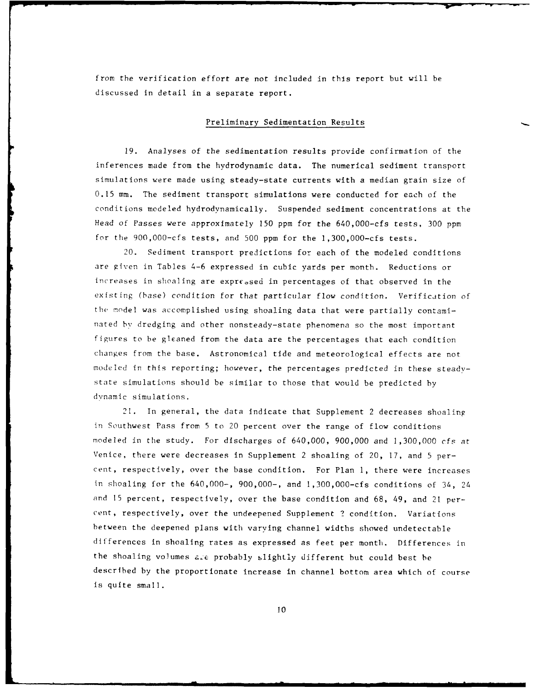from the verification effort are not included in this report but will be discussed In detail in a separate report.

# Preliminary Sedimentation Results

19. Analyses of the sedimentation results provide confirmation of the inferences made from the hydrodynamic data. The numerical sediment transport simulations were made using steady-state currents with a median grain size of 0.15 mm. The sediment transport simulations were conducted for each of the conditions modeled hydrodynamically. Suspended sediment concentrations at the Head of Passes were approximately 150 ppm for the 640,000-cfs tests, 300 ppm for the 900,000-cfs tests, and 500 ppm for the 1,300,000-cfs tests.

20. Sediment transport predictions for each of the modeled conditions are given in Tables 4-6 expressed in cubic yards per month. Reductions or increases in shoaling are expressed in percentages of that observed in the existing (base) condition for that particular flow condition. Verification of the model was accomplished using shoaling data that were partially contaminated by dredging and other nonsteady-state phenomena so the most important figures to be gleaned from the data are the percentages that each condition changes from the base. Astronomical tide and meteorological effects are not modeled in this reporting; however, the percentages predicted in these steadystate simulations should be similar to those that would be predicted by dynamic simulations.

21. In general, the data indicate that Supplement 2 decreases shoaling in Southwest Pass from 5 to 20 percent over the range of flow conditions modeled in the study. For discharges of 640,000, 900,000 and 1,300,000 cfs at Venice, there were decreases in Supplement 2 shoaling of 20, 17, and 5 percent, respectively, over the base condition. For Plan 1, there were increases in shoaling for the 640,000-, 900,000-, and 1,300,000-cfs conditions of 34, 24 and 15 percent, respectively, over the base condition and 68, 49, and 21 percent, respectively, over the undeepened Supplement ? condition. Variations between the deepened plans with varying channel widths showed undetectable differences in shoaling rates as expressed as feet per month. Differences in the shoaling volumes a.e probably slightly different but could best he described by the proportionate increase in channel bottom area which of course is quite small.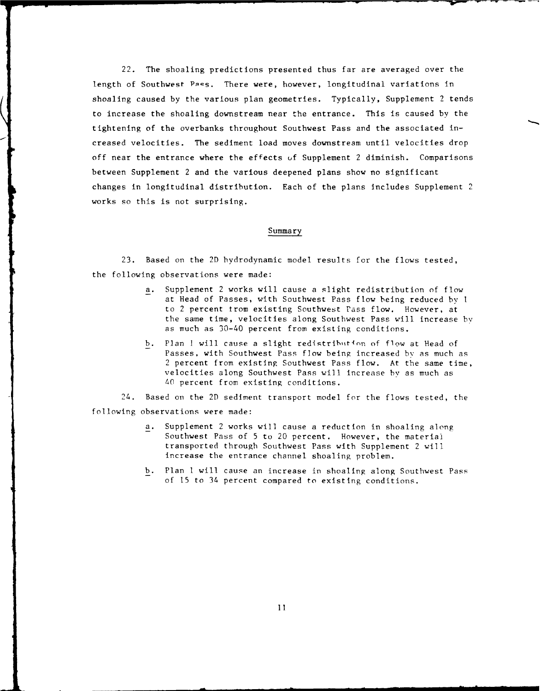22. The shoaling predictions presented thus far are averaged over the length of Southwest Pass. There were, however, longitudinal variations in shoaling caused by the various plan geometries. Typically, Supplement 2 tends to increase the shoaling downstream near the entrance. This is caused by the tightening of the overbanks throughout Southwest Pass and the associated increased velocities. The sediment load moves downstream until velocities drop off near the entrance where the effects uf Supplement 2 diminish. Comparisons between Supplement 2 and the various deepened plans show no significant changes in longitudinal distribution. Each of the plans Includes Supplement 2 works so this is not surprising.

# Summary

23. Based on the 2D hydrodynamic model results for the flows tested, the following observations were made:

- a. Supplement 2 works will cause a slight redistribution of flow at Head of Passes, with Southwest Pass flow being reduced **by** 1 to 2 percent trom existing Southwest Pass flow. However, at the same time, velocities along Southwest Pass will increase by as much as 30-40 percent from existing conditions.
- b. Plan I will cause a slight redistribution of flow at Head of Passes, with Southwest Pass flow being increased by as much as 2 percent from existing Southwest Pass flow. At the same time, velocities along Southwest Pass will increase by as much as 40 percent from existing conditions.

24. Based on the 2D sediment transport model for the flows tested, the following observations were made:

- a. Supplement 2 works will cause a reduction in shoaling along Southwest Pass of 5 to 20 percent. However, the material transported through Southwest Pass with Supplement 2 will increase the entrance channel shoaling problem.
- b. Plan I will cause an increase in shoaling along Southwest Pass of 15 to 34 percent compared to existing conditions.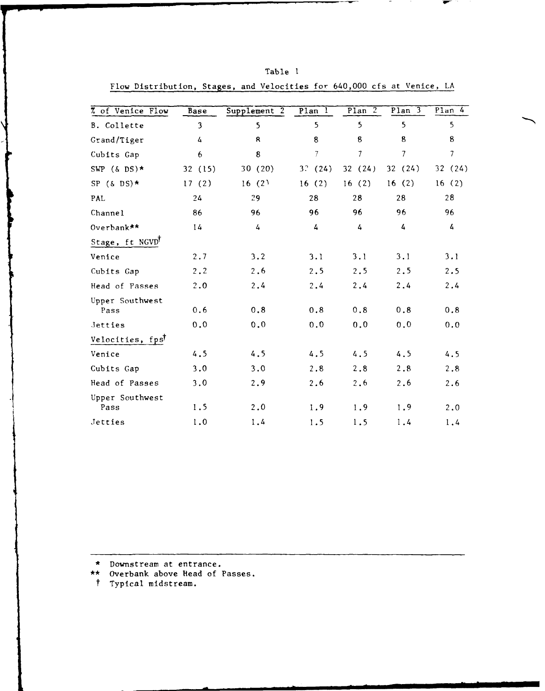| 7 of Venice Flow        | Base           | Supplement 2 | Plan 1          | P1an 2           | Plan <sub>3</sub> | Plan 4         |
|-------------------------|----------------|--------------|-----------------|------------------|-------------------|----------------|
| B. Collette             | $\overline{3}$ | 5            | 5               | 5                | 5                 | 5              |
| Grand/Tiger             | 4              | 8            | 8               | $\boldsymbol{8}$ | 8                 | 8              |
| Cubits Gap              | 6              | 8            | $7\overline{ }$ | $\overline{7}$   | $\overline{7}$    | $\overline{7}$ |
| SWP $(\&$ DS) *         | 32 (15)        | 30 (20)      | 3.2(24)         | 32(24)           | 32(24)            | 32(24)         |
| SP $(\delta$ DS) *      | 17(2)          | 16(2)        | 16(2)           | 16(2)            | 16(2)             | 16(2)          |
| PAL                     | 24             | 29           | 28              | 28               | 28                | 28             |
| Channel                 | 86             | 96           | 96              | 96               | 96                | 96             |
| Overbank **             | 14             | 4            | 4               | 4                | 4                 | 4              |
| Stage, ft NGVD          |                |              |                 |                  |                   |                |
| Venice                  | 2.7            | 3.2          | 3.1             | 3.1              | 3.1               | 3.1            |
| Cubits Gap              | 2, 2           | 2.6          | 2.5             | 2.5              | 2.5               | 2.5            |
| Head of Passes          | 2.0            | 2.4          | 2.4             | 2.4              | 2.4               | 2.4            |
| Upper Southwest<br>Pass | 0.6            | 0, 8         | 0.8             | $0$ , $8$        | 0.8               | 0.8            |
| Jetties                 | 0.0            | 0.0          | 0.0             | 0.0              | 0.0               | 0.0            |
| Velocities, fpst        |                |              |                 |                  |                   |                |
| Venice                  | 4.5            | 4.5          | 4.5             | 4.5              | 4.5               | 4.5            |
| Cubits Gap              | 3.0            | 3.0          | 2.8             | 2.8              | 2.8               | 2.8            |
| Head of Passes          | 3.0            | 2.9          | 2.6             | 2.6              | 2.6               | 2.6            |
| Upper Southwest<br>Pass | 1.5            | 2.0          | 1.9             | 1.9              | 1.9               | 2.0            |
| Jetties                 | 1.0            | 1.4          | 1.5             | 1.5              | 1.4               | 1.4            |

| an |  |
|----|--|
|----|--|

Flow Distribution, Stages, and Velocities for 640,000 cfs at Venice, LA

\* Downstream at entrance.

\*\* Overbank above Head of Passes.

t Typical midstream.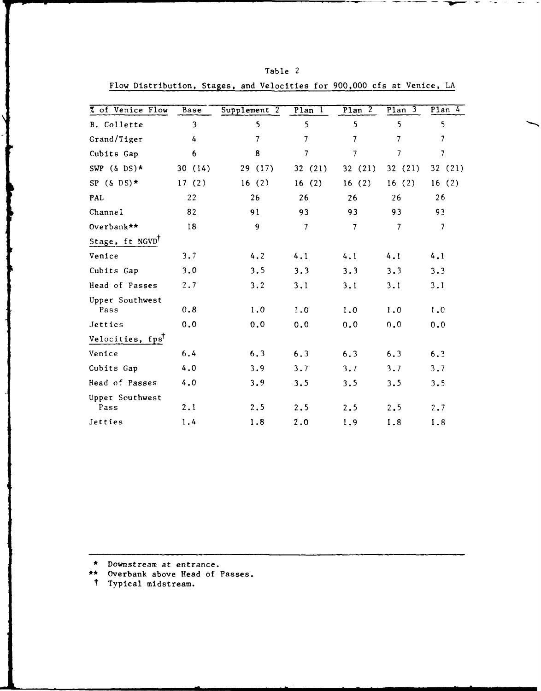| 7 of Venice Flow             | Base   | Supplement 2   | $P$ lan $I$    | Plan $2$       | Plan 3                   | Plan $4$                 |
|------------------------------|--------|----------------|----------------|----------------|--------------------------|--------------------------|
| B. Collette                  | 3      | 5              | 5              | 5              | 5                        | 5                        |
| Grand/Tiger                  | 4      | $\overline{7}$ | $\overline{7}$ | $\overline{7}$ | $\overline{7}$           | $\overline{\phantom{a}}$ |
| Cubits Gap                   | 6      | 8              | 7              | 7              | 7                        | $\overline{7}$           |
| SWP $(\&$ DS) *              | 30(14) | 29 (17)        | 32(21)         | 32(21)         | 32(21)                   | 32 (21)                  |
| SP $(\&$ DS) *               | 17(2)  | 16(2)          | 16(2)          | 16(2)          | 16(2)                    | 16(2)                    |
| PAL                          | 22     | 26             | 26             | 26             | 26                       | 26                       |
| Channel                      | 82     | 91             | 93             | 93             | 93                       | 93                       |
| Overbank**                   | 18     | 9              | $\overline{7}$ | $\overline{7}$ | $\overline{\phantom{a}}$ | $\overline{7}$           |
| Stage, ft NGVD <sup>T</sup>  |        |                |                |                |                          |                          |
| Venice                       | 3.7    | 4.2            | 4.1            | 4.1            | 4.1                      | 4.1                      |
| Cubits Gap                   | 3.0    | 3.5            | 3.3            | 3.3            | 3.3                      | 3.3                      |
| Head of Passes               | 2.7    | 3.2            | 3.1            | 3.1            | 3.1                      | 3.1                      |
| Upper Southwest<br>Pass      | 0.8    | 1.0            | 1.0            | 1.0            | 1.0                      | 1.0                      |
| Jetties                      | 0.0    | 0.0            | 0.0            | 0.0            | 0.0                      | 0.0                      |
| Velocities, fps <sup>T</sup> |        |                |                |                |                          |                          |
| Venice                       | 6.4    | 6.3            | 6.3            | 6.3            | 6.3                      | 6.3                      |
| Cubits Gap                   | 4.0    | 3.9            | 3.7            | 3.7            | 3.7                      | 3.7                      |
| Head of Passes               | 4.0    | 3.9            | 3.5            | 3, 5           | 3.5                      | 3.5                      |
| Upper Southwest              |        |                |                |                |                          |                          |
| Pass                         | 2.1    | 2.5            | 2.5            | 2.5            | 2.5                      | 2.7                      |
| Jetties                      | 1.4    | 1.8            | 2.0            | 1.9            | 1.8                      | 1.8                      |

Table 2 Flow Distribution, Stages, and Velocities for 900,000 cfs at Venice, LA

\* Downstream at entrance.

\*\* Overbank above Head of Passes.

t Typical midstream.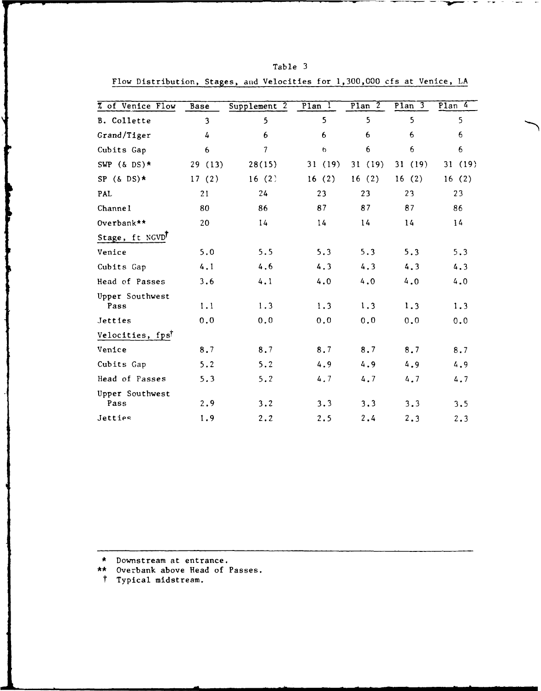| % of Venice Flow        | <b>Base</b>    | Supplement 2 | $P$ lan $I$ | Plan $\overline{2}$ | $P1an$ 3 | $Plan$ 4 |
|-------------------------|----------------|--------------|-------------|---------------------|----------|----------|
| B. Collette             | $\overline{3}$ | 5            | 5           | 5                   | 5        | 5        |
| Grand/Tiger             | 4              | 6            | 6           | 6                   | 6        | 6        |
| Cubits Gap              | 6              | 7            | 6           | 6                   | 6        | 6        |
| SWP $(6 \text{ DS})$ *  | 29 (13)        | 28(15)       | 31(19)      | 31(19)              | 31(19)   | 31 (19)  |
| SP $(\&$ DS) *          | 17(2)          | 16(2)        | 16(2)       | 16(2)               | 16(2)    | 16(2)    |
| PAL                     | 21             | 24           | 23          | 23                  | 23       | 23       |
| Channe1                 | 80             | 86           | 87          | 87                  | 87       | 86       |
| Overbank**              | 20             | 14           | 14          | 14                  | 14       | 14       |
| Stage, ft NGVD          |                |              |             |                     |          |          |
| Venice                  | 5.0            | 5.5          | 5.3         | 5.3                 | 5.3      | 5.3      |
| Cubits Gap              | 4.1            | 4.6          | 4.3         | 4.3                 | 4.3      | 4.3      |
| Head of Passes          | 3.6            | 4.1          | 4.0         | 4.0                 | 4.0      | 4.0      |
| Upper Southwest<br>Pass | 1.1            | 1.3          | 1.3         | 1.3                 | 1.3      | 1.3      |
| Jetties                 | 0.0            | 0.0          | 0.0         | 0.0                 | 0.0      | 0.0      |
| Velocities, fpst        |                |              |             |                     |          |          |
| Venice                  | 8.7            | 8.7          | 8.7         | 8.7                 | 8.7      | 8.7      |
| Cubits Gap              | 5.2            | 5.2          | 4.9         | 4.9                 | 4.9      | 4.9      |
| Head of Passes          | 5.3            | 5.2          | 4.7         | 4.7                 | 4.7      | 4.7      |
| Upper Southwest<br>Pass | 2.9            | 3.2          | 3.3         | 3.3                 | 3.3      | 3.5      |
| Jetties                 | 1.9            | 2.2          | 2.5         | 2.4                 | 2.3      | 2.3      |

Table 3 Flow Distribution, Stages, and Velocities for 1,300,000 cfs at Venice, LA

**\*** Downstream at entrance.

**\*\*** Overbank above Head of Passes.

t Typical midstream.